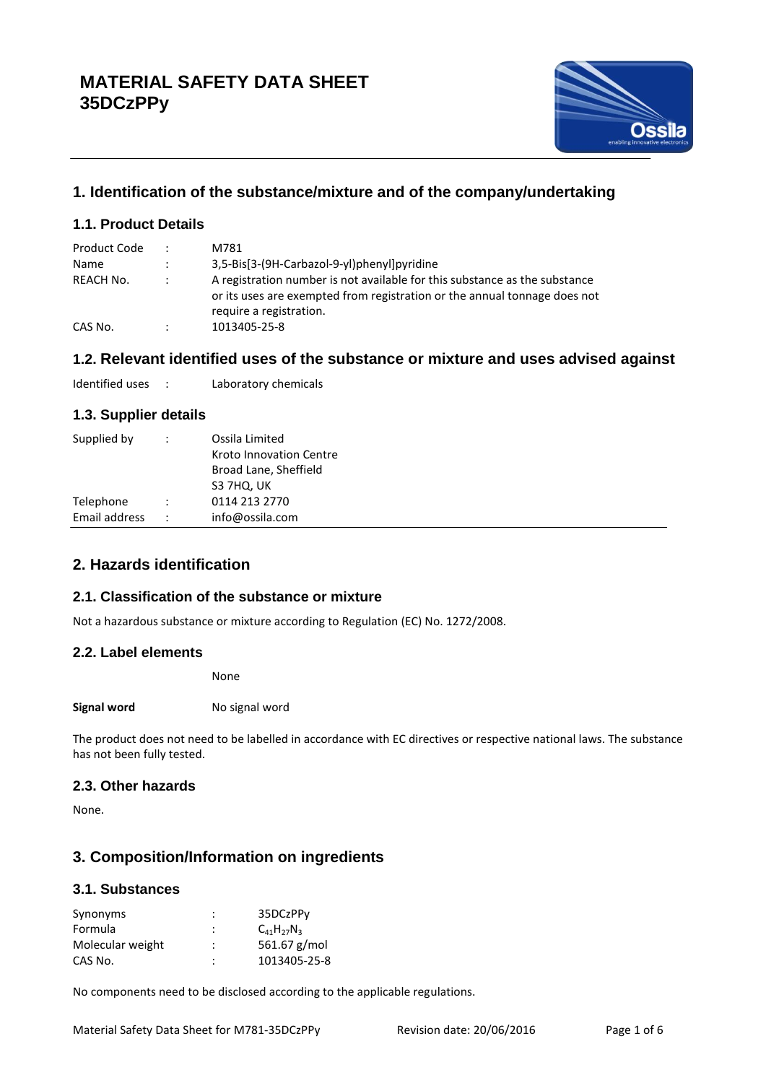

# **1. Identification of the substance/mixture and of the company/undertaking**

# **1.1. Product Details**

| Product Code | $\ddot{\phantom{0}}$ | M781                                                                                                                                                                               |
|--------------|----------------------|------------------------------------------------------------------------------------------------------------------------------------------------------------------------------------|
| Name         | $\ddot{\cdot}$       | 3,5-Bis[3-(9H-Carbazol-9-yl)phenyl]pyridine                                                                                                                                        |
| REACH No.    | $\ddot{\phantom{0}}$ | A registration number is not available for this substance as the substance<br>or its uses are exempted from registration or the annual tonnage does not<br>require a registration. |
| CAS No.      | $\ddot{\cdot}$       | 1013405-25-8                                                                                                                                                                       |

# **1.2. Relevant identified uses of the substance or mixture and uses advised against**

Identified uses : Laboratory chemicals

# **1.3. Supplier details**

| Supplied by<br>÷                      | Ossila Limited<br>Kroto Innovation Centre<br>Broad Lane, Sheffield<br>S3 7HQ, UK |
|---------------------------------------|----------------------------------------------------------------------------------|
| Telephone                             | 0114 213 2770                                                                    |
| Email address<br>$\ddot{\phantom{a}}$ | info@ossila.com                                                                  |

# **2. Hazards identification**

# **2.1. Classification of the substance or mixture**

Not a hazardous substance or mixture according to Regulation (EC) No. 1272/2008.

#### **2.2. Label elements**

None

**Signal word** No signal word

The product does not need to be labelled in accordance with EC directives or respective national laws. The substance has not been fully tested.

## **2.3. Other hazards**

None.

# **3. Composition/Information on ingredients**

#### **3.1. Substances**

| 561.67 g/mol |
|--------------|
| 1013405-25-8 |
|              |

No components need to be disclosed according to the applicable regulations.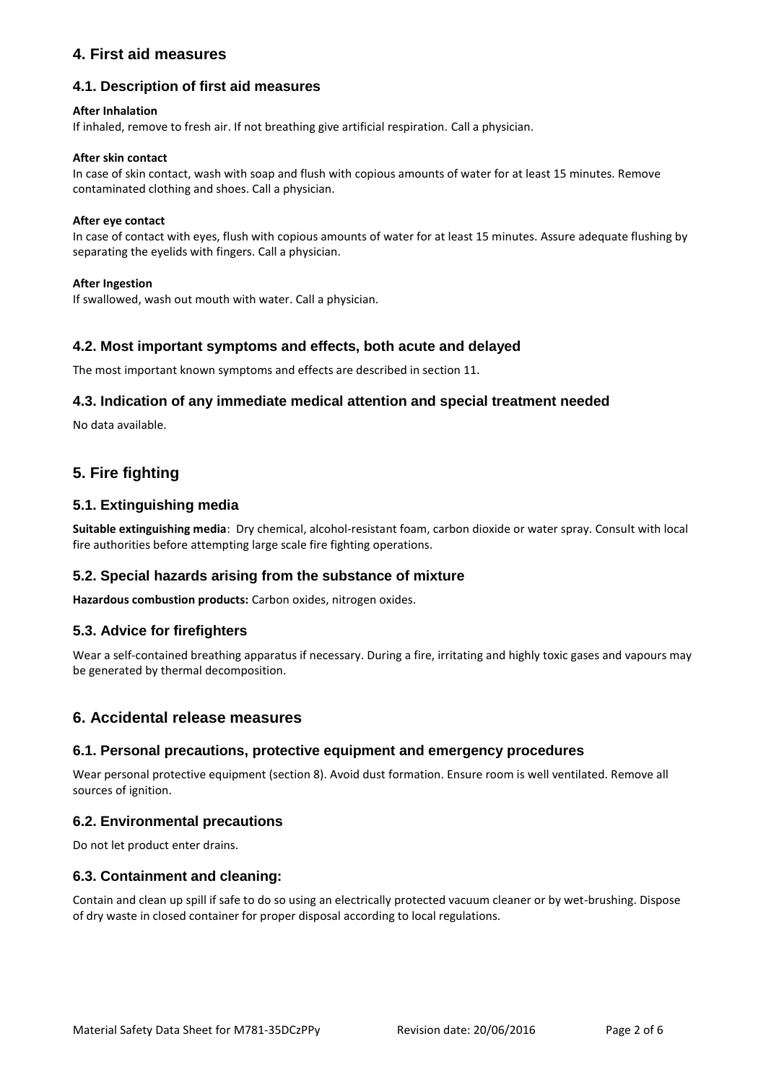# **4. First aid measures**

# **4.1. Description of first aid measures**

#### **After Inhalation**

If inhaled, remove to fresh air. If not breathing give artificial respiration. Call a physician.

#### **After skin contact**

In case of skin contact, wash with soap and flush with copious amounts of water for at least 15 minutes. Remove contaminated clothing and shoes. Call a physician.

#### **After eye contact**

In case of contact with eyes, flush with copious amounts of water for at least 15 minutes. Assure adequate flushing by separating the eyelids with fingers. Call a physician.

#### **After Ingestion**

If swallowed, wash out mouth with water. Call a physician.

## **4.2. Most important symptoms and effects, both acute and delayed**

The most important known symptoms and effects are described in section 11.

## **4.3. Indication of any immediate medical attention and special treatment needed**

No data available.

# **5. Fire fighting**

## **5.1. Extinguishing media**

**Suitable extinguishing media**: Dry chemical, alcohol-resistant foam, carbon dioxide or water spray. Consult with local fire authorities before attempting large scale fire fighting operations.

#### **5.2. Special hazards arising from the substance of mixture**

**Hazardous combustion products:** Carbon oxides, nitrogen oxides.

#### **5.3. Advice for firefighters**

Wear a self-contained breathing apparatus if necessary. During a fire, irritating and highly toxic gases and vapours may be generated by thermal decomposition.

#### **6. Accidental release measures**

#### **6.1. Personal precautions, protective equipment and emergency procedures**

Wear personal protective equipment (section 8). Avoid dust formation. Ensure room is well ventilated. Remove all sources of ignition.

#### **6.2. Environmental precautions**

Do not let product enter drains.

#### **6.3. Containment and cleaning:**

Contain and clean up spill if safe to do so using an electrically protected vacuum cleaner or by wet-brushing. Dispose of dry waste in closed container for proper disposal according to local regulations.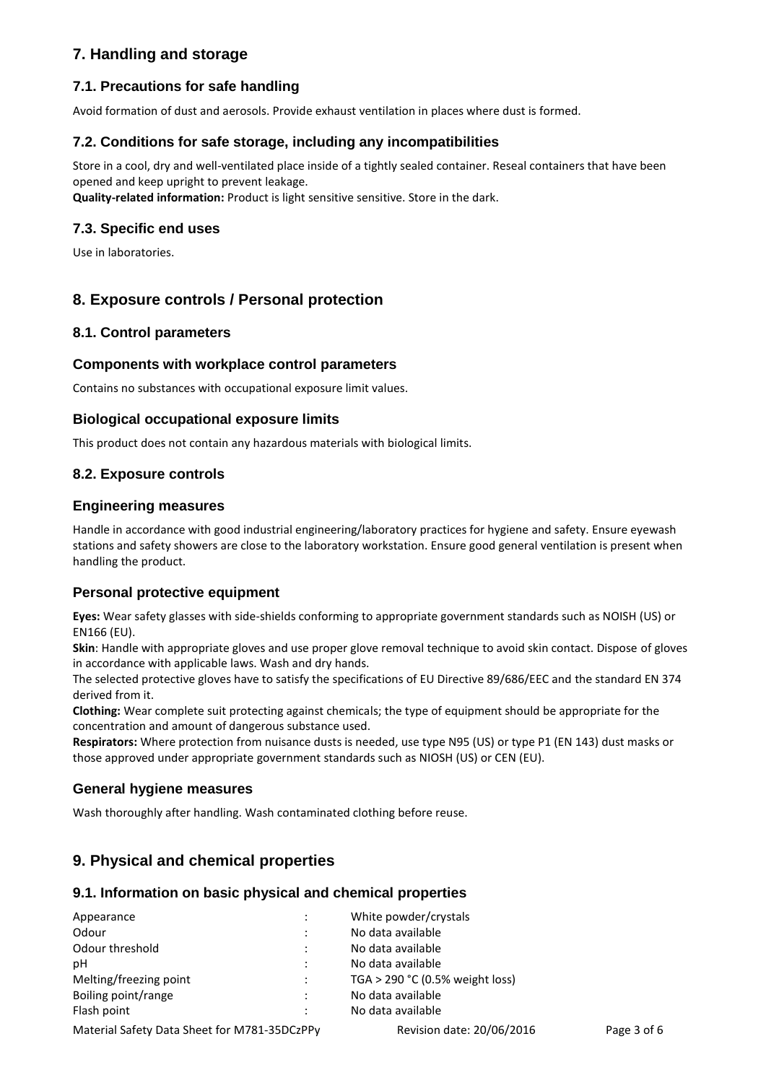# **7. Handling and storage**

# **7.1. Precautions for safe handling**

Avoid formation of dust and aerosols. Provide exhaust ventilation in places where dust is formed.

## **7.2. Conditions for safe storage, including any incompatibilities**

Store in a cool, dry and well-ventilated place inside of a tightly sealed container. Reseal containers that have been opened and keep upright to prevent leakage.

**Quality-related information:** Product is light sensitive sensitive. Store in the dark.

#### **7.3. Specific end uses**

Use in laboratories.

# **8. Exposure controls / Personal protection**

#### **8.1. Control parameters**

#### **Components with workplace control parameters**

Contains no substances with occupational exposure limit values.

#### **Biological occupational exposure limits**

This product does not contain any hazardous materials with biological limits.

## **8.2. Exposure controls**

#### **Engineering measures**

Handle in accordance with good industrial engineering/laboratory practices for hygiene and safety. Ensure eyewash stations and safety showers are close to the laboratory workstation. Ensure good general ventilation is present when handling the product.

#### **Personal protective equipment**

**Eyes:** Wear safety glasses with side-shields conforming to appropriate government standards such as NOISH (US) or EN166 (EU).

**Skin**: Handle with appropriate gloves and use proper glove removal technique to avoid skin contact. Dispose of gloves in accordance with applicable laws. Wash and dry hands.

The selected protective gloves have to satisfy the specifications of EU Directive 89/686/EEC and the standard EN 374 derived from it.

**Clothing:** Wear complete suit protecting against chemicals; the type of equipment should be appropriate for the concentration and amount of dangerous substance used.

**Respirators:** Where protection from nuisance dusts is needed, use type N95 (US) or type P1 (EN 143) dust masks or those approved under appropriate government standards such as NIOSH (US) or CEN (EU).

#### **General hygiene measures**

Wash thoroughly after handling. Wash contaminated clothing before reuse.

# **9. Physical and chemical properties**

#### **9.1. Information on basic physical and chemical properties**

| Appearance                                     | $\ddot{\phantom{a}}$ | White powder/crystals           |             |  |
|------------------------------------------------|----------------------|---------------------------------|-------------|--|
| Odour                                          | $\ddot{\cdot}$       | No data available               |             |  |
| Odour threshold<br>$\bullet$                   |                      | No data available               |             |  |
| рH                                             |                      | No data available               |             |  |
| Melting/freezing point<br>$\ddot{\phantom{a}}$ |                      | TGA > 290 °C (0.5% weight loss) |             |  |
| Boiling point/range                            |                      | No data available               |             |  |
| Flash point                                    | ٠                    | No data available               |             |  |
| Material Safety Data Sheet for M781-35DCzPPy   |                      | Revision date: 20/06/2016       | Page 3 of 6 |  |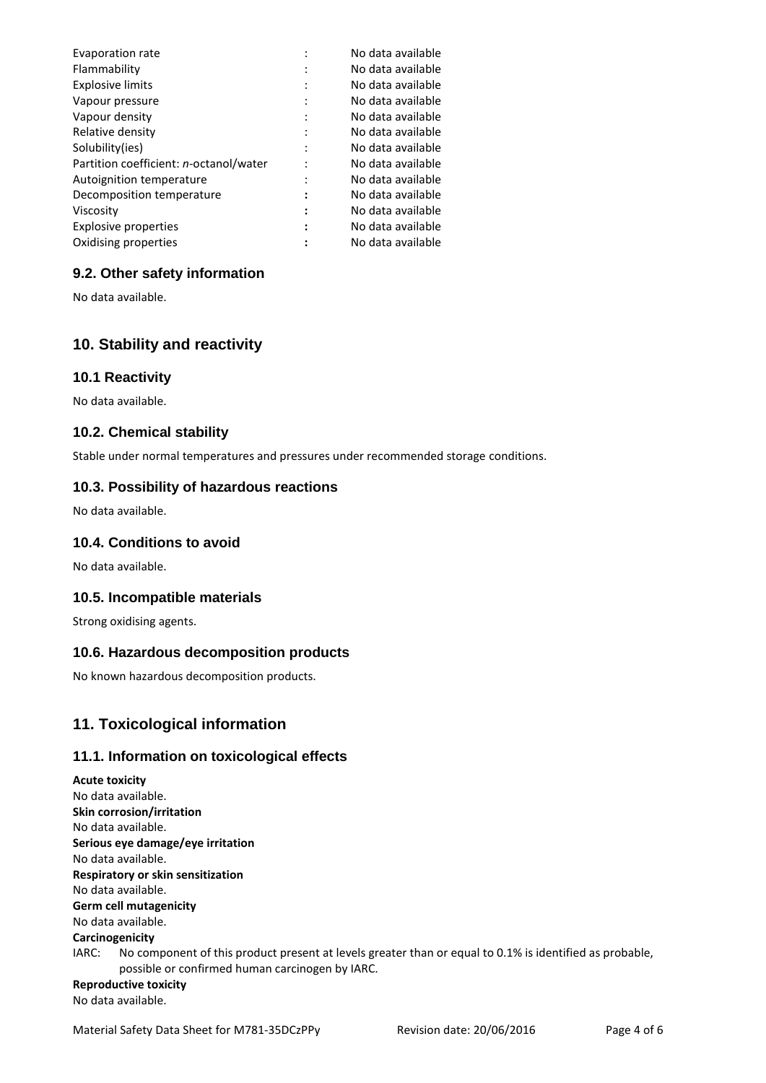| Evaporation rate                       |         | No data available |
|----------------------------------------|---------|-------------------|
| Flammability                           |         | No data available |
| <b>Explosive limits</b>                |         | No data available |
| Vapour pressure                        |         | No data available |
| Vapour density                         | $\cdot$ | No data available |
| Relative density                       |         | No data available |
| Solubility(ies)                        |         | No data available |
| Partition coefficient: n-octanol/water |         | No data available |
| Autoignition temperature               | ٠       | No data available |
| Decomposition temperature              | ٠<br>٠  | No data available |
| Viscosity                              |         | No data available |
| <b>Explosive properties</b>            |         | No data available |
| Oxidising properties                   |         | No data available |

## **9.2. Other safety information**

No data available.

# **10. Stability and reactivity**

#### **10.1 Reactivity**

No data available.

## **10.2. Chemical stability**

Stable under normal temperatures and pressures under recommended storage conditions.

#### **10.3. Possibility of hazardous reactions**

No data available.

## **10.4. Conditions to avoid**

No data available.

#### **10.5. Incompatible materials**

Strong oxidising agents.

#### **10.6. Hazardous decomposition products**

No known hazardous decomposition products.

# **11. Toxicological information**

#### **11.1. Information on toxicological effects**

**Acute toxicity** No data available. **Skin corrosion/irritation** No data available. **Serious eye damage/eye irritation** No data available. **Respiratory or skin sensitization** No data available. **Germ cell mutagenicity** No data available. **Carcinogenicity** IARC: No component of this product present at levels greater than or equal to 0.1% is identified as probable, possible or confirmed human carcinogen by IARC. **Reproductive toxicity** No data available.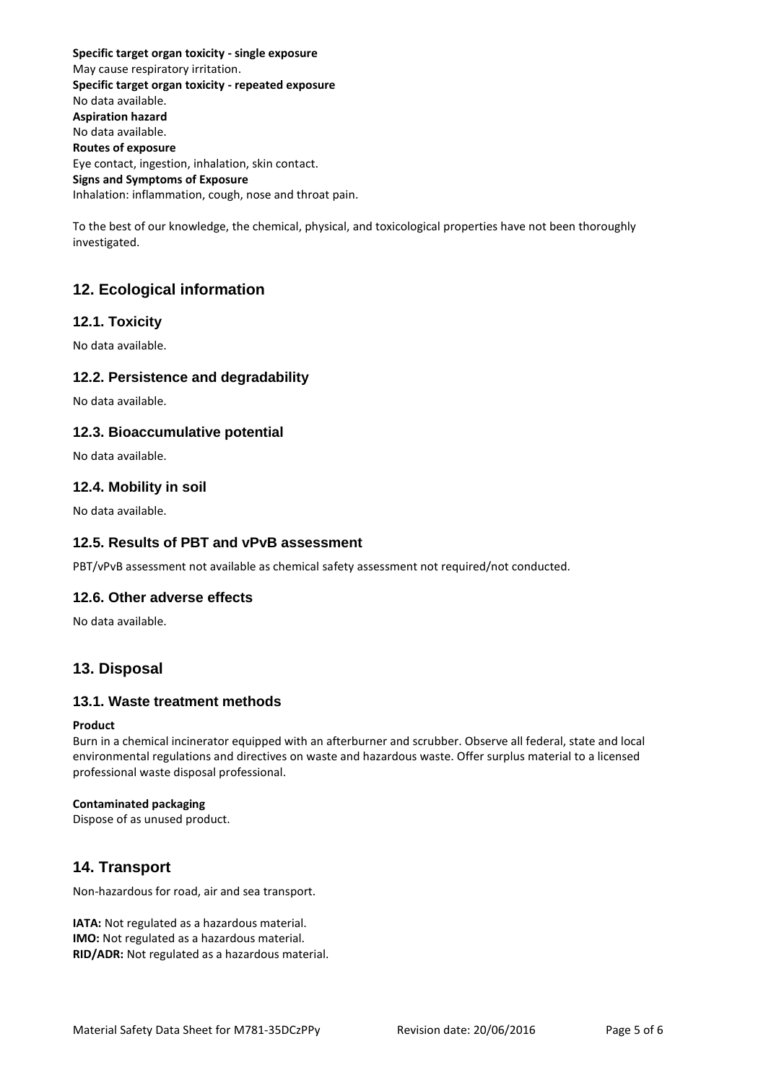**Specific target organ toxicity - single exposure** May cause respiratory irritation. **Specific target organ toxicity - repeated exposure** No data available. **Aspiration hazard** No data available. **Routes of exposure** Eye contact, ingestion, inhalation, skin contact. **Signs and Symptoms of Exposure** Inhalation: inflammation, cough, nose and throat pain.

To the best of our knowledge, the chemical, physical, and toxicological properties have not been thoroughly investigated.

# **12. Ecological information**

# **12.1. Toxicity**

No data available.

## **12.2. Persistence and degradability**

No data available.

## **12.3. Bioaccumulative potential**

No data available.

## **12.4. Mobility in soil**

No data available.

#### **12.5. Results of PBT and vPvB assessment**

PBT/vPvB assessment not available as chemical safety assessment not required/not conducted.

#### **12.6. Other adverse effects**

No data available.

# **13. Disposal**

#### **13.1. Waste treatment methods**

#### **Product**

Burn in a chemical incinerator equipped with an afterburner and scrubber. Observe all federal, state and local environmental regulations and directives on waste and hazardous waste. Offer surplus material to a licensed professional waste disposal professional.

#### **Contaminated packaging**

Dispose of as unused product.

# **14. Transport**

Non-hazardous for road, air and sea transport.

**IATA:** Not regulated as a hazardous material. **IMO:** Not regulated as a hazardous material. **RID/ADR:** Not regulated as a hazardous material.